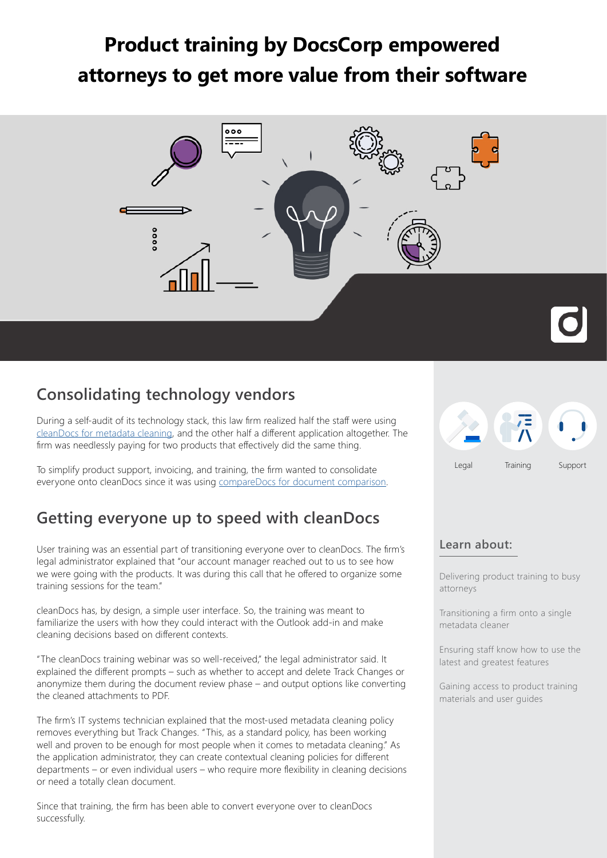# **Product training by DocsCorp empowered attorneys to get more value from their software**



## **Consolidating technology vendors**

During a self-audit of its technology stack, this law firm realized half the staff were using [cleanDocs for metadata cleaning,](https://www.docscorp.com/products/cleandocs/metadata-management-send-secure-emails/) and the other half a different application altogether. The firm was needlessly paying for two products that effectively did the same thing.

To simplify product support, invoicing, and training, the firm wanted to consolidate everyone onto cleanDocs since it was using [compareDocs for document comparison.](https://www.docscorp.com/products/comparedocs/document-comparison-software/)

### **Getting everyone up to speed with cleanDocs**

User training was an essential part of transitioning everyone over to cleanDocs. The firm's legal administrator explained that "our account manager reached out to us to see how we were going with the products. It was during this call that he offered to organize some training sessions for the team."

cleanDocs has, by design, a simple user interface. So, the training was meant to familiarize the users with how they could interact with the Outlook add-in and make cleaning decisions based on different contexts.

"The cleanDocs training webinar was so well-received," the legal administrator said. It explained the different prompts – such as whether to accept and delete Track Changes or anonymize them during the document review phase – and output options like converting the cleaned attachments to PDF.

The firm's IT systems technician explained that the most-used metadata cleaning policy removes everything but Track Changes. "This, as a standard policy, has been working well and proven to be enough for most people when it comes to metadata cleaning." As the application administrator, they can create contextual cleaning policies for different departments – or even individual users – who require more flexibility in cleaning decisions or need a totally clean document.

Since that training, the firm has been able to convert everyone over to cleanDocs successfully.



#### **Learn about:**

Delivering product training to busy attorneys

Transitioning a firm onto a single metadata cleaner

Ensuring staff know how to use the latest and greatest features

Gaining access to product training materials and user guides